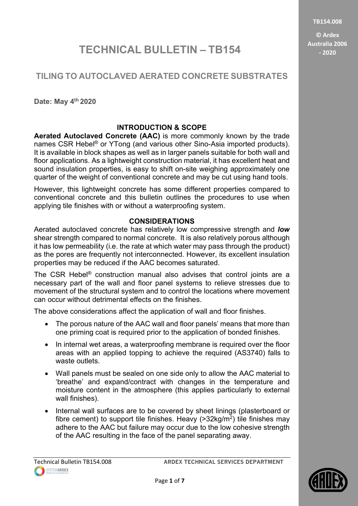TB154.008

© Ardex Australia 2006 - 2020

# TECHNICAL BULLETIN – TB154

# TILING TO AUTOCLAVED AERATED CONCRETE SUBSTRATES

Date: May 4<sup>th</sup> 2020

## INTRODUCTION & SCOPE

Aerated Autoclaved Concrete (AAC) is more commonly known by the trade names CSR Hebel® or YTong (and various other Sino-Asia imported products). It is available in block shapes as well as in larger panels suitable for both wall and floor applications. As a lightweight construction material, it has excellent heat and sound insulation properties, is easy to shift on-site weighing approximately one quarter of the weight of conventional concrete and may be cut using hand tools.

However, this lightweight concrete has some different properties compared to conventional concrete and this bulletin outlines the procedures to use when applying tile finishes with or without a waterproofing system.

### CONSIDERATIONS

Aerated autoclaved concrete has relatively low compressive strength and **low** shear strength compared to normal concrete. It is also relatively porous although it has low permeability (i.e. the rate at which water may pass through the product) as the pores are frequently not interconnected. However, its excellent insulation properties may be reduced if the AAC becomes saturated.

The CSR Hebel® construction manual also advises that control joints are a necessary part of the wall and floor panel systems to relieve stresses due to movement of the structural system and to control the locations where movement can occur without detrimental effects on the finishes.

The above considerations affect the application of wall and floor finishes.

- The porous nature of the AAC wall and floor panels' means that more than one priming coat is required prior to the application of bonded finishes.
- In internal wet areas, a waterproofing membrane is required over the floor areas with an applied topping to achieve the required (AS3740) falls to waste outlets.
- Wall panels must be sealed on one side only to allow the AAC material to 'breathe' and expand/contract with changes in the temperature and moisture content in the atmosphere (this applies particularly to external wall finishes).
- Internal wall surfaces are to be covered by sheet linings (plasterboard or fibre cement) to support tile finishes. Heavy (>32kg/m<sup>2</sup>) tile finishes may adhere to the AAC but failure may occur due to the low cohesive strength of the AAC resulting in the face of the panel separating away.

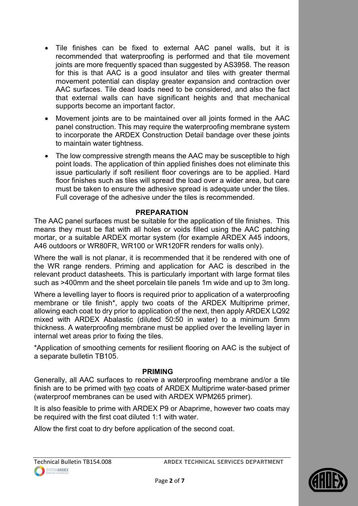- Tile finishes can be fixed to external AAC panel walls, but it is recommended that waterproofing is performed and that tile movement joints are more frequently spaced than suggested by AS3958. The reason for this is that AAC is a good insulator and tiles with greater thermal movement potential can display greater expansion and contraction over AAC surfaces. Tile dead loads need to be considered, and also the fact that external walls can have significant heights and that mechanical supports become an important factor.
- Movement joints are to be maintained over all joints formed in the AAC panel construction. This may require the waterproofing membrane system to incorporate the ARDEX Construction Detail bandage over these joints to maintain water tightness.
- The low compressive strength means the AAC may be susceptible to high point loads. The application of thin applied finishes does not eliminate this issue particularly if soft resilient floor coverings are to be applied. Hard floor finishes such as tiles will spread the load over a wider area, but care must be taken to ensure the adhesive spread is adequate under the tiles. Full coverage of the adhesive under the tiles is recommended.

#### PREPARATION

The AAC panel surfaces must be suitable for the application of tile finishes. This means they must be flat with all holes or voids filled using the AAC patching mortar, or a suitable ARDEX mortar system (for example ARDEX A45 indoors, A46 outdoors or WR80FR, WR100 or WR120FR renders for walls only).

Where the wall is not planar, it is recommended that it be rendered with one of the WR range renders. Priming and application for AAC is described in the relevant product datasheets. This is particularly important with large format tiles such as >400mm and the sheet porcelain tile panels 1m wide and up to 3m long.

Where a levelling layer to floors is required prior to application of a waterproofing membrane or tile finish\*, apply two coats of the ARDEX Multiprime primer, allowing each coat to dry prior to application of the next, then apply ARDEX LQ92 mixed with ARDEX Abalastic (diluted 50:50 in water) to a minimum 5mm thickness. A waterproofing membrane must be applied over the levelling layer in internal wet areas prior to fixing the tiles.

\*Application of smoothing cements for resilient flooring on AAC is the subject of a separate bulletin TB105.

#### PRIMING

Generally, all AAC surfaces to receive a waterproofing membrane and/or a tile finish are to be primed with two coats of ARDEX Multiprime water-based primer (waterproof membranes can be used with ARDEX WPM265 primer).

It is also feasible to prime with ARDEX P9 or Abaprime, however two coats may be required with the first coat diluted 1:1 with water.

Allow the first coat to dry before application of the second coat.

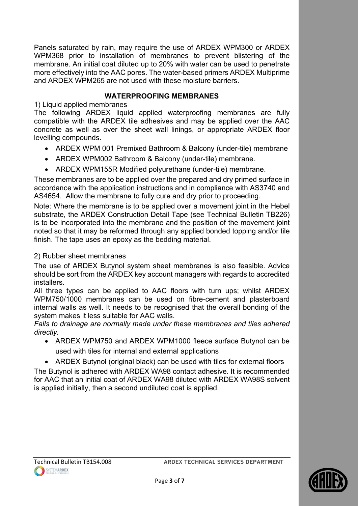Panels saturated by rain, may require the use of ARDEX WPM300 or ARDEX WPM368 prior to installation of membranes to prevent blistering of the membrane. An initial coat diluted up to 20% with water can be used to penetrate more effectively into the AAC pores. The water-based primers ARDEX Multiprime and ARDEX WPM265 are not used with these moisture barriers.

### WATERPROOFING MEMBRANES

1) Liquid applied membranes

The following ARDEX liquid applied waterproofing membranes are fully compatible with the ARDEX tile adhesives and may be applied over the AAC concrete as well as over the sheet wall linings, or appropriate ARDEX floor levelling compounds.

- ARDEX WPM 001 Premixed Bathroom & Balcony (under-tile) membrane
- ARDEX WPM002 Bathroom & Balcony (under-tile) membrane.
- ARDEX WPM155R Modified polyurethane (under-tile) membrane.

These membranes are to be applied over the prepared and dry primed surface in accordance with the application instructions and in compliance with AS3740 and AS4654. Allow the membrane to fully cure and dry prior to proceeding.

Note: Where the membrane is to be applied over a movement joint in the Hebel substrate, the ARDEX Construction Detail Tape (see Technical Bulletin TB226) is to be incorporated into the membrane and the position of the movement joint noted so that it may be reformed through any applied bonded topping and/or tile finish. The tape uses an epoxy as the bedding material.

### 2) Rubber sheet membranes

The use of ARDEX Butynol system sheet membranes is also feasible. Advice should be sort from the ARDEX key account managers with regards to accredited installers.

All three types can be applied to AAC floors with turn ups; whilst ARDEX WPM750/1000 membranes can be used on fibre-cement and plasterboard internal walls as well. It needs to be recognised that the overall bonding of the system makes it less suitable for AAC walls.

Falls to drainage are normally made under these membranes and tiles adhered directly.

- ARDEX WPM750 and ARDEX WPM1000 fleece surface Butynol can be used with tiles for internal and external applications
- ARDEX Butynol (original black) can be used with tiles for external floors

The Butynol is adhered with ARDEX WA98 contact adhesive. It is recommended for AAC that an initial coat of ARDEX WA98 diluted with ARDEX WA98S solvent is applied initially, then a second undiluted coat is applied.



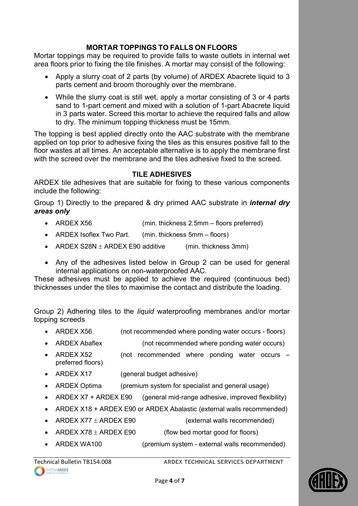### MORTAR TOPPINGS TO FALLS ON FLOORS

Mortar toppings may be required to provide falls to waste outlets in internal wet area floors prior to fixing the tile finishes. A mortar may consist of the following:

- Apply a slurry coat of 2 parts (by volume) of ARDEX Abacrete liquid to 3 parts cement and broom thoroughly over the membrane.
- While the slurry coat is still wet, apply a mortar consisting of 3 or 4 parts sand to 1-part cement and mixed with a solution of 1-part Abacrete liquid in 3 parts water. Screed this mortar to achieve the required falls and allow to dry. The minimum topping thickness must be 15mm.

The topping is best applied directly onto the AAC substrate with the membrane applied on top prior to adhesive fixing the tiles as this ensures positive fall to the floor wastes at all times. An acceptable alternative is to apply the membrane first with the screed over the membrane and the tiles adhesive fixed to the screed.

### TILE ADHESIVES

ARDEX tile adhesives that are suitable for fixing to these various components include the following:

Group 1) Directly to the prepared & dry primed AAC substrate in *internal dry* areas only

- ARDEX X56 (min. thickness 2.5mm floors preferred)
- ARDEX Isoflex Two Part. (min. thickness 5mm floors)
- ARDEX S28N  $\pm$  ARDEX E90 additive (min. thickness 3mm)
- Any of the adhesives listed below in Group 2 can be used for general internal applications on non-waterproofed AAC.

These adhesives must be applied to achieve the required (continuous bed) thicknesses under the tiles to maximise the contact and distribute the loading.

Group 2) Adhering tiles to the liquid waterproofing membranes and/or mortar topping screeds

- ARDEX X56 (not recommended where ponding water occurs floors)
- ARDEX Abaflex (not recommended where ponding water occurs)
- ARDEX X52 (not recommended where ponding water occurs preferred floors)
- ARDEX X17 (general budget adhesive)
- ARDEX Optima (premium system for specialist and general usage)
- ARDEX X7 + ARDEX E90 (general mid-range adhesive, improved flexibility)
- ARDEX X18 + ARDEX E90 or ARDEX Abalastic (external walls recommended)
- ARDEX  $X77 \pm$  ARDEX E90 (external walls recommended)
- ARDEX  $X78 \pm$  ARDEX E90 (flow bed mortar good for floors)
- ARDEX WA100 (premium system external walls recommended)

Technical Bulletin TB154.008 ARDEX TECHNICAL SERVICES DEPARTMENT

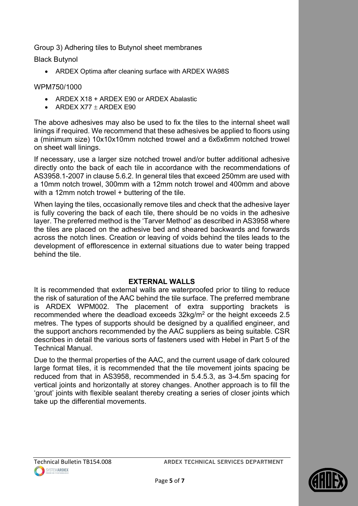Group 3) Adhering tiles to Butynol sheet membranes

Black Butynol

ARDEX Optima after cleaning surface with ARDEX WA98S

### WPM750/1000

- ARDEX X18 + ARDEX E90 or ARDEX Abalastic
- ARDEX X77  $\pm$  ARDEX E90

The above adhesives may also be used to fix the tiles to the internal sheet wall linings if required. We recommend that these adhesives be applied to floors using a (minimum size) 10x10x10mm notched trowel and a 6x6x6mm notched trowel on sheet wall linings.

If necessary, use a larger size notched trowel and/or butter additional adhesive directly onto the back of each tile in accordance with the recommendations of AS3958.1-2007 in clause 5.6.2. In general tiles that exceed 250mm are used with a 10mm notch trowel, 300mm with a 12mm notch trowel and 400mm and above with a 12mm notch trowel + buttering of the tile.

When laying the tiles, occasionally remove tiles and check that the adhesive layer is fully covering the back of each tile, there should be no voids in the adhesive layer. The preferred method is the 'Tarver Method' as described in AS3958 where the tiles are placed on the adhesive bed and sheared backwards and forwards across the notch lines. Creation or leaving of voids behind the tiles leads to the development of efflorescence in external situations due to water being trapped behind the tile.

#### EXTERNAL WALLS

It is recommended that external walls are waterproofed prior to tiling to reduce the risk of saturation of the AAC behind the tile surface. The preferred membrane is ARDEX WPM002. The placement of extra supporting brackets is recommended where the deadload exceeds  $32$ kg/m<sup>2</sup> or the height exceeds 2.5 metres. The types of supports should be designed by a qualified engineer, and the support anchors recommended by the AAC suppliers as being suitable. CSR describes in detail the various sorts of fasteners used with Hebel in Part 5 of the Technical Manual.

Due to the thermal properties of the AAC, and the current usage of dark coloured large format tiles, it is recommended that the tile movement joints spacing be reduced from that in AS3958, recommended in 5.4.5.3, as 3-4.5m spacing for vertical joints and horizontally at storey changes. Another approach is to fill the 'grout' joints with flexible sealant thereby creating a series of closer joints which take up the differential movements.

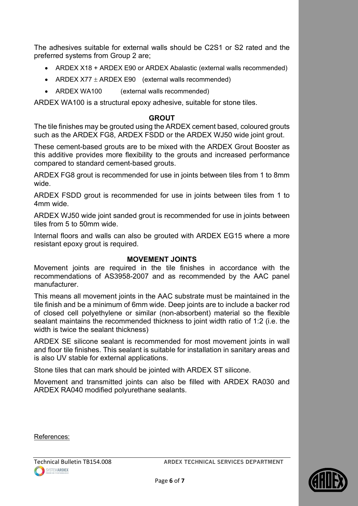The adhesives suitable for external walls should be C2S1 or S2 rated and the preferred systems from Group 2 are;

- ARDEX X18 + ARDEX E90 or ARDEX Abalastic (external walls recommended)
- ARDEX  $X77 \pm$  ARDEX E90 (external walls recommended)
- ARDEX WA100 (external walls recommended)

ARDEX WA100 is a structural epoxy adhesive, suitable for stone tiles.

#### **GROUT**

The tile finishes may be grouted using the ARDEX cement based, coloured grouts such as the ARDEX FG8, ARDEX FSDD or the ARDEX WJ50 wide joint grout.

These cement-based grouts are to be mixed with the ARDEX Grout Booster as this additive provides more flexibility to the grouts and increased performance compared to standard cement-based grouts.

ARDEX FG8 grout is recommended for use in joints between tiles from 1 to 8mm wide.

ARDEX FSDD grout is recommended for use in joints between tiles from 1 to 4mm wide.

ARDEX WJ50 wide joint sanded grout is recommended for use in joints between tiles from 5 to 50mm wide.

Internal floors and walls can also be grouted with ARDEX EG15 where a more resistant epoxy grout is required.

#### MOVEMENT JOINTS

Movement joints are required in the tile finishes in accordance with the recommendations of AS3958-2007 and as recommended by the AAC panel manufacturer.

This means all movement joints in the AAC substrate must be maintained in the tile finish and be a minimum of 6mm wide. Deep joints are to include a backer rod of closed cell polyethylene or similar (non-absorbent) material so the flexible sealant maintains the recommended thickness to joint width ratio of 1:2 (i.e. the width is twice the sealant thickness)

ARDEX SE silicone sealant is recommended for most movement joints in wall and floor tile finishes. This sealant is suitable for installation in sanitary areas and is also UV stable for external applications.

Stone tiles that can mark should be jointed with ARDEX ST silicone.

Movement and transmitted joints can also be filled with ARDEX RA030 and ARDEX RA040 modified polyurethane sealants.

References: